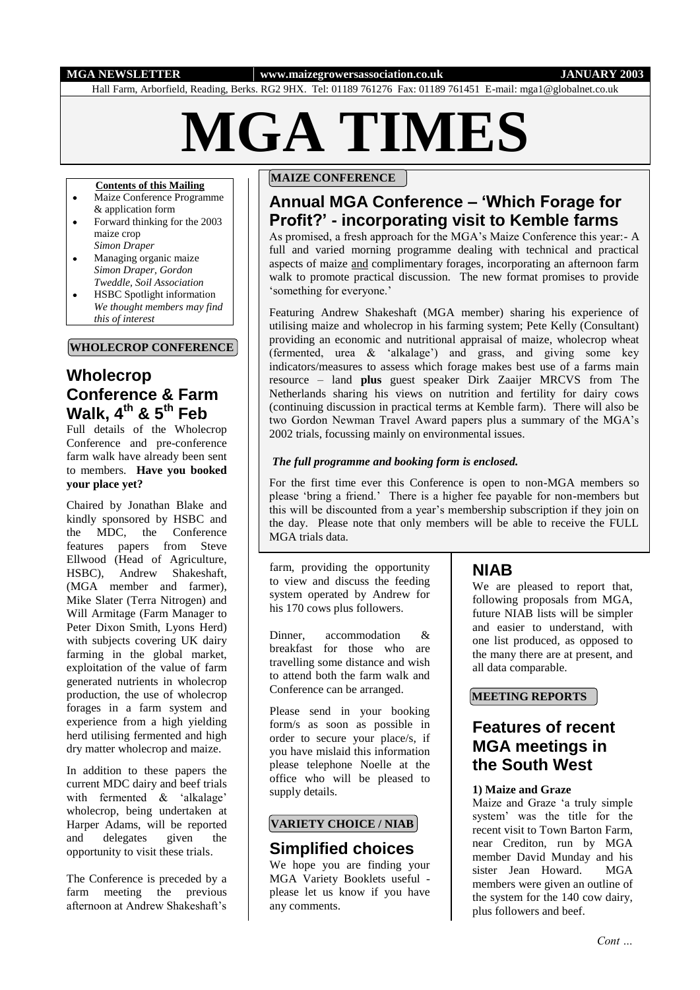#### **MGA NEWSLETTER www.maizegrowersassociation.co.uk JANUARY 2003**

Hall Farm, Arborfield, Reading, Berks. RG2 9HX. Tel: 01189 761276 Fax: 01189 761451 E-mail: mga1@globalnet.co.uk

# **MGA TIMES**

#### **Contents of this Mailing**

- Maize Conference Programme & application form
- Forward thinking for the 2003  $\bullet$ maize crop
- *Simon Draper* Managing organic maize  $\bullet$ *Simon Draper, Gordon*
- *Tweddle, Soil Association* HSBC Spotlight information  $\bullet$ *We thought members may find* 
	- *this of interest*

#### **WHOLECROP CONFERENCE**

# **Wholecrop Conference & Farm Walk, 4th & 5th Feb**

Full details of the Wholecrop Conference and pre-conference farm walk have already been sent to members. **Have you booked your place yet?**

Chaired by Jonathan Blake and kindly sponsored by HSBC and the MDC, the Conference features papers from Steve Ellwood (Head of Agriculture, HSBC), Andrew Shakeshaft. (MGA member and farmer), Mike Slater (Terra Nitrogen) and Will Armitage (Farm Manager to Peter Dixon Smith, Lyons Herd) with subjects covering UK dairy farming in the global market, exploitation of the value of farm generated nutrients in wholecrop production, the use of wholecrop forages in a farm system and experience from a high yielding herd utilising fermented and high dry matter wholecrop and maize.

In addition to these papers the current MDC dairy and beef trials with fermented & 'alkalage' wholecrop, being undertaken at Harper Adams, will be reported<br>and delegates given the and delegates given the opportunity to visit these trials.

The Conference is preceded by a farm meeting the previous afternoon at Andrew Shakeshaft's

#### **MAIZE CONFERENCE**

# **Annual MGA Conference – 'Which Forage for Profit?' - incorporating visit to Kemble farms**

As promised, a fresh approach for the MGA's Maize Conference this year:- A full and varied morning programme dealing with technical and practical aspects of maize and complimentary forages, incorporating an afternoon farm walk to promote practical discussion. The new format promises to provide 'something for everyone.'

Featuring Andrew Shakeshaft (MGA member) sharing his experience of utilising maize and wholecrop in his farming system; Pete Kelly (Consultant) providing an economic and nutritional appraisal of maize, wholecrop wheat (fermented, urea & 'alkalage') and grass, and giving some key indicators/measures to assess which forage makes best use of a farms main resource – land **plus** guest speaker Dirk Zaaijer MRCVS from The Netherlands sharing his views on nutrition and fertility for dairy cows (continuing discussion in practical terms at Kemble farm). There will also be two Gordon Newman Travel Award papers plus a summary of the MGA's 2002 trials, focussing mainly on environmental issues.

#### *The full programme and booking form is enclosed.*

For the first time ever this Conference is open to non-MGA members so please 'bring a friend.' There is a higher fee payable for non-members but this will be discounted from a year's membership subscription if they join on the day. Please note that only members will be able to receive the FULL MGA trials data.

farm, providing the opportunity to view and discuss the feeding system operated by Andrew for his 170 cows plus followers.

Dinner accommodation & breakfast for those who are travelling some distance and wish to attend both the farm walk and Conference can be arranged.

Please send in your booking form/s as soon as possible in order to secure your place/s, if you have mislaid this information please telephone Noelle at the office who will be pleased to supply details.

#### **VARIETY CHOICE / NIAB**

## **Simplified choices**

We hope you are finding your MGA Variety Booklets useful please let us know if you have any comments.

# **NIAB**

We are pleased to report that, following proposals from MGA, future NIAB lists will be simpler and easier to understand, with one list produced, as opposed to the many there are at present, and all data comparable.

#### **MEETING REPORTS**

# **Features of recent MGA meetings in the South West**

#### **1) Maize and Graze**

Maize and Graze 'a truly simple system' was the title for the recent visit to Town Barton Farm, near Crediton, run by MGA member David Munday and his sister Jean Howard. MGA members were given an outline of the system for the 140 cow dairy, plus followers and beef.